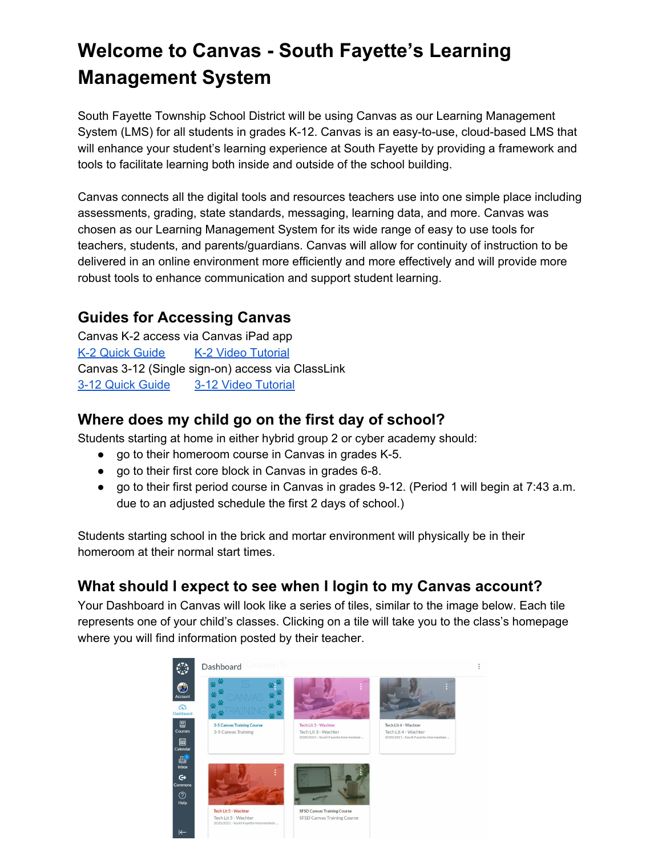# **Welcome to Canvas - South Fayette's Learning Management System**

South Fayette Township School District will be using Canvas as our Learning Management System (LMS) for all students in grades K-12. Canvas is an easy-to-use, cloud-based LMS that will enhance your student's learning experience at South Fayette by providing a framework and tools to facilitate learning both inside and outside of the school building.

Canvas connects all the digital tools and resources teachers use into one simple place including assessments, grading, state standards, messaging, learning data, and more. Canvas was chosen as our Learning Management System for its wide range of easy to use tools for teachers, students, and parents/guardians. Canvas will allow for continuity of instruction to be delivered in an online environment more efficiently and more effectively and will provide more robust tools to enhance communication and support student learning.

# **Guides for Accessing Canvas**

Canvas K-2 access via Canvas iPad app K-2 Quick [Guide](https://drive.google.com/file/d/1UGiFjsyPi2mFT8V3bi3qeVJnMc7yQmNh/view?usp=sharing) K-2 Video [Tutorial](https://drive.google.com/file/d/1CZZcTa6gJ18RF7-Px236DCBqNX9_DeWN/view?usp=sharing) Canvas 3-12 (Single sign-on) access via ClassLink 3-12 Quick [Guide](https://drive.google.com/file/d/14RFqf08XZTUTQpSfZwUGqMDMc-FGH2i9/view?usp=sharing) 3-12 Video [Tutorial](https://drive.google.com/file/d/1CbWYq4666Ia0GyoEBMJcf2Md13APaK1Z/view?usp=sharing)

# **Where does my child go on the first day of school?**

Students starting at home in either hybrid group 2 or cyber academy should:

- go to their homeroom course in Canvas in grades K-5.
- go to their first core block in Canvas in grades 6-8.
- go to their first period course in Canvas in grades 9-12. (Period 1 will begin at 7:43 a.m. due to an adjusted schedule the first 2 days of school.)

Students starting school in the brick and mortar environment will physically be in their homeroom at their normal start times.

# **What should I expect to see when I login to my Canvas account?**

Your Dashboard in Canvas will look like a series of tiles, similar to the image below. Each tile represents one of your child's classes. Clicking on a tile will take you to the class's homepage where you will find information posted by their teacher.

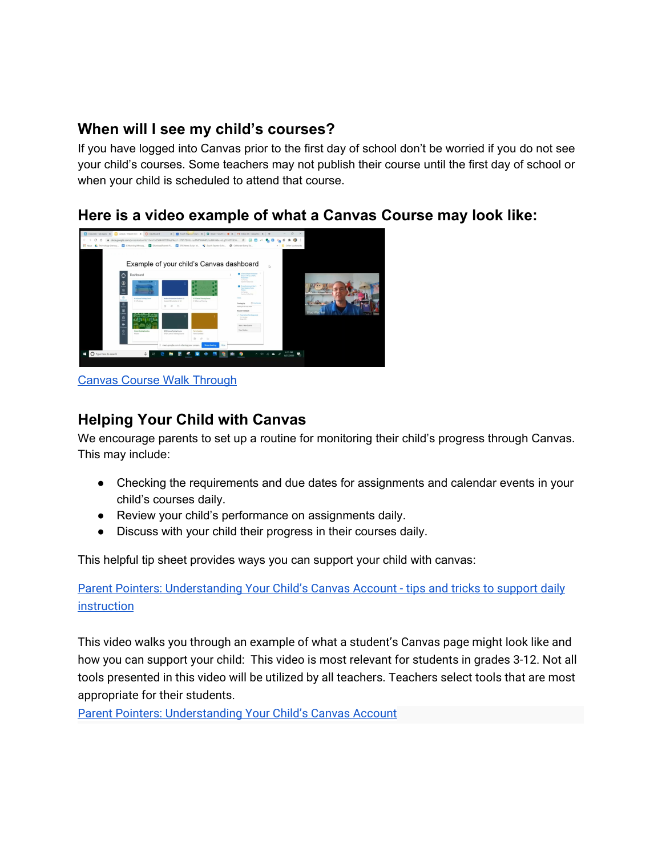# **When will I see my child's courses?**

If you have logged into Canvas prior to the first day of school don't be worried if you do not see your child's courses. Some teachers may not publish their course until the first day of school or when your child is scheduled to attend that course.

#### **Here is a video example of what a Canvas Course may look like:**



Canvas Course Walk [Through](https://youtu.be/-qPkcGZsEGA)

# **Helping Your Child with Canvas**

We encourage parents to set up a routine for monitoring their child's progress through Canvas. This may include:

- Checking the requirements and due dates for assignments and calendar events in your child's courses daily.
- Review your child's performance on assignments daily.
- Discuss with your child their progress in their courses daily.

This helpful tip sheet provides ways you can support your child with canvas:

Parent Pointers: [Understanding](http://bit.ly/ParentPointersOne) Your Child's Canvas Account - tips and tricks to support daily **[instruction](http://bit.ly/ParentPointersOne)** 

This video walks you through an example of what a student's Canvas page might look like and how you can support your child: This video is most relevant for students in grades 3-12. Not all tools presented in this video will be utilized by all teachers. Teachers select tools that are most appropriate for their students.

Parent Pointers: [Understanding](https://www.youtube.com/watch?v=jqF2oo4O1SE) Your Child's Canvas Account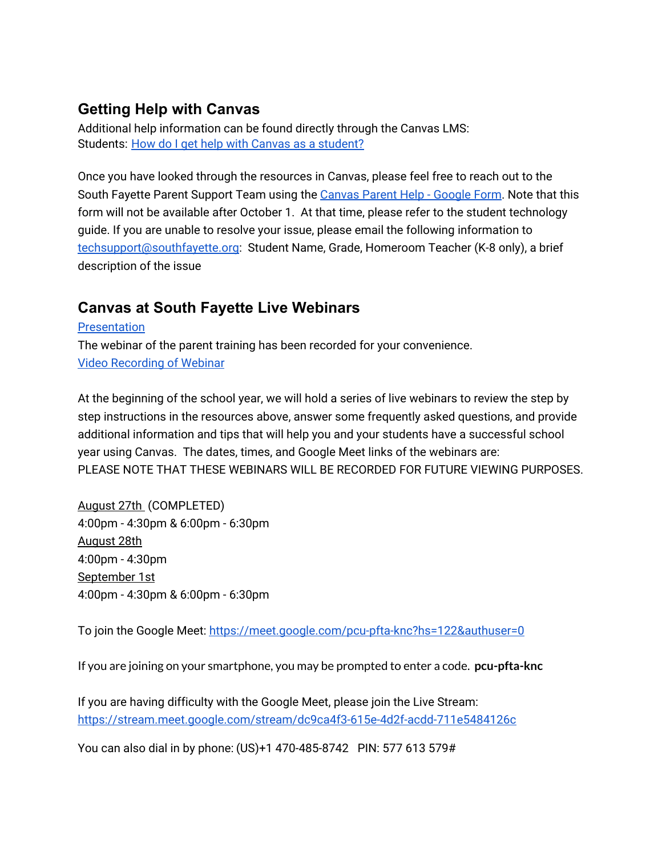# **Getting Help with Canvas**

Additional help information can be found directly through the Canvas LMS: Students: How do I get help with Canvas as a [student?](https://community.canvaslms.com/t5/Student-Guide/How-do-I-get-help-with-Canvas-as-a-student/ta-p/498)

Once you have looked through the resources in Canvas, please feel free to reach out to the South Fayette Parent Support Team using the [Canvas](https://forms.gle/6GLb1dbrvBXNN4zJ7) Parent Help - Google Form. Note that this form will not be available after October 1. At that time, please refer to the student technology guide. If you are unable to resolve your issue, please email the following information to [techsupport@southfayette.org](mailto:techsupport@southfayette.org): Student Name, Grade, Homeroom Teacher (K-8 only), a brief description of the issue

# **Canvas at South Fayette Live Webinars**

[Presentation](https://docs.google.com/presentation/d/13xm1bCW4XK7DDkqP4qLf--3TIPr7BHU-noPMPKAK4Pc/edit?usp=sharing) The webinar of the parent training has been recorded for your convenience. Video [Recording](https://youtu.be/83UTeNaspr4) of Webinar

At the beginning of the school year, we will hold a series of live webinars to review the step by step instructions in the resources above, answer some frequently asked questions, and provide additional information and tips that will help you and your students have a successful school year using Canvas. The dates, times, and Google Meet links of the webinars are: PLEASE NOTE THAT THESE WEBINARS WILL BE RECORDED FOR FUTURE VIEWING PURPOSES.

August 27th (COMPLETED) 4:00pm - 4:30pm & 6:00pm - 6:30pm August 28th 4:00pm - 4:30pm September 1st 4:00pm - 4:30pm & 6:00pm - 6:30pm

To join the Google Meet: <https://meet.google.com/pcu-pfta-knc?hs=122&authuser=0>

If you are joining on your smartphone, you may be prompted to enter a code. **pcu-pfta-knc**

If you are having difficulty with the Google Meet, please join the Live Stream: <https://stream.meet.google.com/stream/dc9ca4f3-615e-4d2f-acdd-711e5484126c>

You can also dial in by phone: (US)+1 470-485-8742 PIN: 577 613 579#